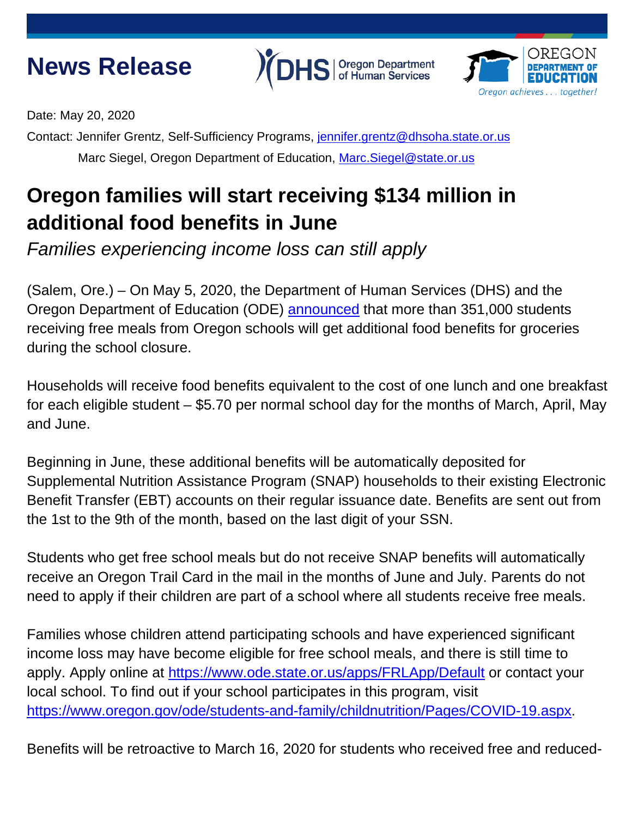## **News Release**





Date: May 20, 2020

Contact: Jennifer Grentz, Self-Sufficiency Programs, [jennifer.grentz@dhsoha.state.or.us](mailto:jennifer.grentz@dhsoha.state.or.us) Marc Siegel, Oregon Department of Education, Marc. Siegel@state.or.us

## **Oregon families will start receiving \$134 million in additional food benefits in June**

*Families experiencing income loss can still apply*

(Salem, Ore.) – On May 5, 2020, the Department of Human Services (DHS) and the Oregon Department of Education (ODE) [announced](https://www.oregon.gov/DHS/DHSNEWS/NewsReleases/05052020-SSP-ODE-NewsRelease.pdf) that more than 351,000 students receiving free meals from Oregon schools will get additional food benefits for groceries during the school closure.

Households will receive food benefits equivalent to the cost of one lunch and one breakfast for each eligible student – \$5.70 per normal school day for the months of March, April, May and June.

Beginning in June, these additional benefits will be automatically deposited for Supplemental Nutrition Assistance Program (SNAP) households to their existing Electronic Benefit Transfer (EBT) accounts on their regular issuance date. Benefits are sent out from the 1st to the 9th of the month, based on the last digit of your SSN.

Students who get free school meals but do not receive SNAP benefits will automatically receive an Oregon Trail Card in the mail in the months of June and July. Parents do not need to apply if their children are part of a school where all students receive free meals.

Families whose children attend participating schools and have experienced significant income loss may have become eligible for free school meals, and there is still time to apply. Apply online at<https://www.ode.state.or.us/apps/FRLApp/Default> or contact your local school. To find out if your school participates in this program, visit [https://www.oregon.gov/ode/students-and-family/childnutrition/Pages/COVID-19.aspx.](https://www.oregon.gov/ode/students-and-family/childnutrition/Pages/COVID-19.aspx)

Benefits will be retroactive to March 16, 2020 for students who received free and reduced-